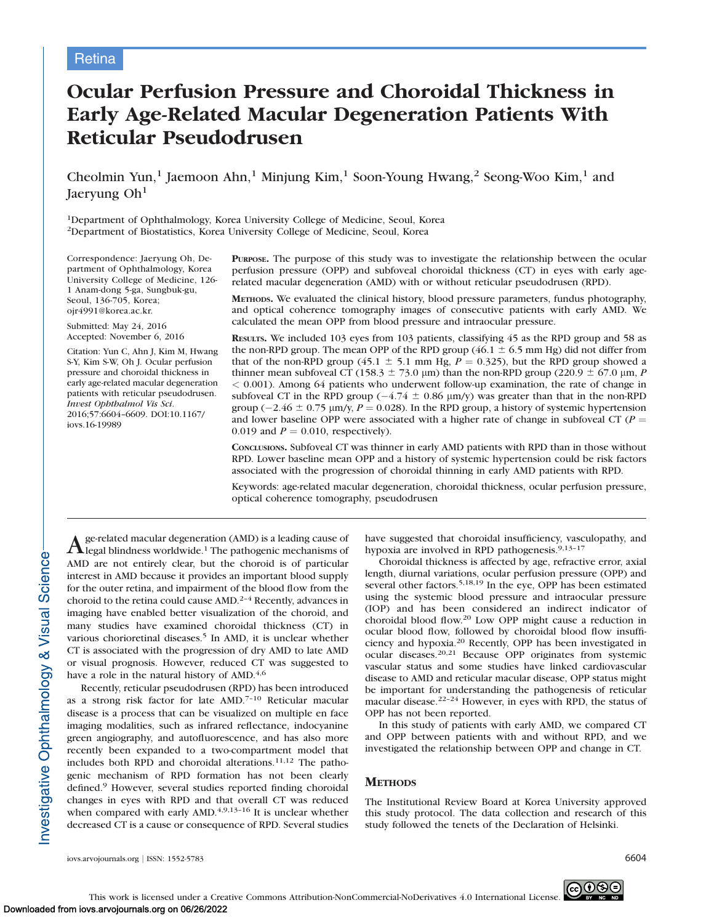# Ocular Perfusion Pressure and Choroidal Thickness in Early Age-Related Macular Degeneration Patients With Reticular Pseudodrusen

Cheolmin Yun,<sup>1</sup> Jaemoon Ahn,<sup>1</sup> Minjung Kim,<sup>1</sup> Soon-Young Hwang,<sup>2</sup> Seong-Woo Kim,<sup>1</sup> and Jaeryung  $Oh<sup>1</sup>$ 

1Department of Ophthalmology, Korea University College of Medicine, Seoul, Korea 2Department of Biostatistics, Korea University College of Medicine, Seoul, Korea

Correspondence: Jaeryung Oh, Department of Ophthalmology, Korea University College of Medicine, 126- 1 Anam-dong 5-ga, Sungbuk-gu, Seoul, 136-705, Korea; ojr4991@korea.ac.kr.

Submitted: May 24, 2016 Accepted: November 6, 2016

Citation: Yun C, Ahn J, Kim M, Hwang S-Y, Kim S-W, Oh J. Ocular perfusion pressure and choroidal thickness in early age-related macular degeneration patients with reticular pseudodrusen. Invest Ophthalmol Vis Sci. 2016;57:6604–6609. DOI:10.1167/ iovs.16-19989

PURPOSE. The purpose of this study was to investigate the relationship between the ocular perfusion pressure (OPP) and subfoveal choroidal thickness (CT) in eyes with early agerelated macular degeneration (AMD) with or without reticular pseudodrusen (RPD).

METHODS. We evaluated the clinical history, blood pressure parameters, fundus photography, and optical coherence tomography images of consecutive patients with early AMD. We calculated the mean OPP from blood pressure and intraocular pressure.

RESULTS. We included 103 eyes from 103 patients, classifying 45 as the RPD group and 58 as the non-RPD group. The mean OPP of the RPD group (46.1  $\pm$  6.5 mm Hg) did not differ from that of the non-RPD group (45.1  $\pm$  5.1 mm Hg, P = 0.325), but the RPD group showed a thinner mean subfoveal CT (158.3  $\pm$  73.0 µm) than the non-RPD group (220.9  $\pm$  67.0 µm, P < 0.001). Among 64 patients who underwent follow-up examination, the rate of change in subfoveal CT in the RPD group  $(-4.74 \pm 0.86 \mu \text{m/y})$  was greater than that in the non-RPD group ( $-2.46 \pm 0.75$  µm/y,  $P = 0.028$ ). In the RPD group, a history of systemic hypertension and lower baseline OPP were associated with a higher rate of change in subfoveal CT ( $P =$ 0.019 and  $P = 0.010$ , respectively).

CONCLUSIONS. Subfoveal CT was thinner in early AMD patients with RPD than in those without RPD. Lower baseline mean OPP and a history of systemic hypertension could be risk factors associated with the progression of choroidal thinning in early AMD patients with RPD.

Keywords: age-related macular degeneration, choroidal thickness, ocular perfusion pressure, optical coherence tomography, pseudodrusen

 $A$  ge-related macular degeneration (AMD) is a leading cause of legal blindness worldwide.<sup>1</sup> The pathogenic mechanisms of AMD are not entirely clear, but the choroid is of particular interest in AMD because it provides an important blood supply for the outer retina, and impairment of the blood flow from the choroid to the retina could cause  $\text{AMD}^{2-4}$  Recently, advances in imaging have enabled better visualization of the choroid, and many studies have examined choroidal thickness (CT) in various chorioretinal diseases.<sup>5</sup> In AMD, it is unclear whether CT is associated with the progression of dry AMD to late AMD or visual prognosis. However, reduced CT was suggested to have a role in the natural history of  $\text{AMD.}^{4,6}$ 

Recently, reticular pseudodrusen (RPD) has been introduced as a strong risk factor for late AMD.7–10 Reticular macular disease is a process that can be visualized on multiple en face imaging modalities, such as infrared reflectance, indocyanine green angiography, and autofluorescence, and has also more recently been expanded to a two-compartment model that includes both RPD and choroidal alterations.11,12 The pathogenic mechanism of RPD formation has not been clearly defined.<sup>9</sup> However, several studies reported finding choroidal changes in eyes with RPD and that overall CT was reduced when compared with early  $AMD.49,13-16$  It is unclear whether decreased CT is a cause or consequence of RPD. Several studies have suggested that choroidal insufficiency, vasculopathy, and hypoxia are involved in RPD pathogenesis.<sup>9,13-17</sup>

Choroidal thickness is affected by age, refractive error, axial length, diurnal variations, ocular perfusion pressure (OPP) and several other factors.<sup>5,18,19</sup> In the eye, OPP has been estimated using the systemic blood pressure and intraocular pressure (IOP) and has been considered an indirect indicator of choroidal blood flow.20 Low OPP might cause a reduction in ocular blood flow, followed by choroidal blood flow insufficiency and hypoxia.<sup>20</sup> Recently, OPP has been investigated in ocular diseases.20,21 Because OPP originates from systemic vascular status and some studies have linked cardiovascular disease to AMD and reticular macular disease, OPP status might be important for understanding the pathogenesis of reticular macular disease.22–24 However, in eyes with RPD, the status of OPP has not been reported.

In this study of patients with early AMD, we compared CT and OPP between patients with and without RPD, and we investigated the relationship between OPP and change in CT.

# **METHODS**

The Institutional Review Board at Korea University approved this study protocol. The data collection and research of this study followed the tenets of the Declaration of Helsinki.

iovs.arvojournals.org j ISSN: 1552-5783 6604

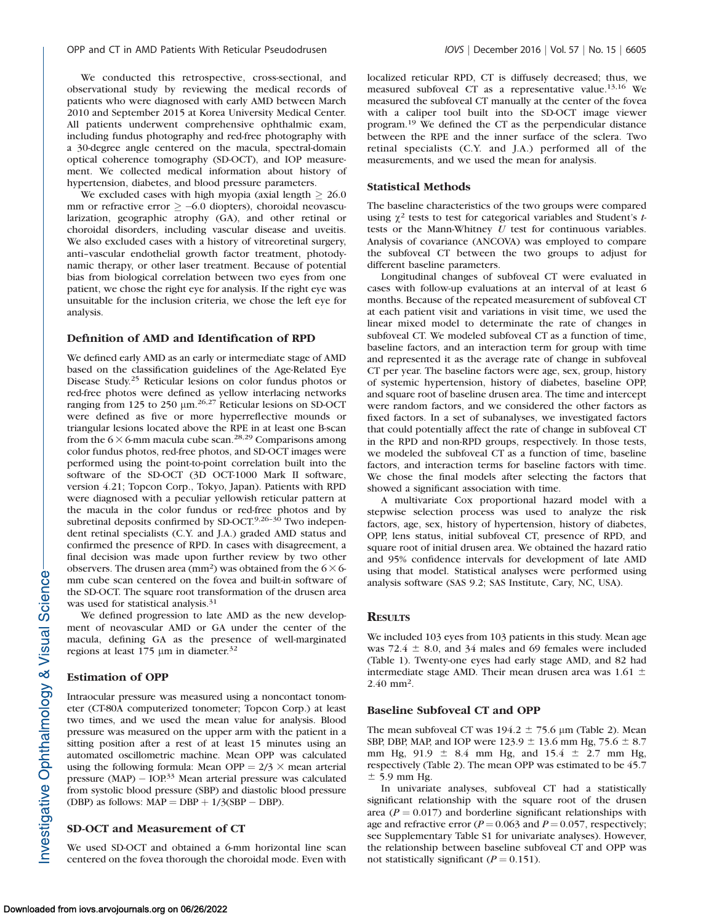We conducted this retrospective, cross-sectional, and observational study by reviewing the medical records of patients who were diagnosed with early AMD between March 2010 and September 2015 at Korea University Medical Center. All patients underwent comprehensive ophthalmic exam, including fundus photography and red-free photography with a 30-degree angle centered on the macula, spectral-domain optical coherence tomography (SD-OCT), and IOP measurement. We collected medical information about history of hypertension, diabetes, and blood pressure parameters.

We excluded cases with high myopia (axial length  $\geq 26.0$ mm or refractive error  $\ge -6.0$  diopters), choroidal neovascularization, geographic atrophy (GA), and other retinal or choroidal disorders, including vascular disease and uveitis. We also excluded cases with a history of vitreoretinal surgery, anti–vascular endothelial growth factor treatment, photodynamic therapy, or other laser treatment. Because of potential bias from biological correlation between two eyes from one patient, we chose the right eye for analysis. If the right eye was unsuitable for the inclusion criteria, we chose the left eye for analysis.

# Definition of AMD and Identification of RPD

We defined early AMD as an early or intermediate stage of AMD based on the classification guidelines of the Age-Related Eye Disease Study.<sup>25</sup> Reticular lesions on color fundus photos or red-free photos were defined as yellow interlacing networks ranging from 125 to 250  $\mu$ m.<sup>26,27</sup> Reticular lesions on SD-OCT were defined as five or more hyperreflective mounds or triangular lesions located above the RPE in at least one B-scan from the  $6 \times 6$ -mm macula cube scan.<sup>28,29</sup> Comparisons among color fundus photos, red-free photos, and SD-OCT images were performed using the point-to-point correlation built into the software of the SD-OCT (3D OCT-1000 Mark II software, version 4.21; Topcon Corp., Tokyo, Japan). Patients with RPD were diagnosed with a peculiar yellowish reticular pattern at the macula in the color fundus or red-free photos and by subretinal deposits confirmed by SD-OCT.<sup>9,26-30</sup> Two independent retinal specialists (C.Y. and J.A.) graded AMD status and confirmed the presence of RPD. In cases with disagreement, a final decision was made upon further review by two other observers. The drusen area (mm<sup>2</sup>) was obtained from the  $6 \times 6$ mm cube scan centered on the fovea and built-in software of the SD-OCT. The square root transformation of the drusen area was used for statistical analysis.<sup>31</sup>

We defined progression to late AMD as the new development of neovascular AMD or GA under the center of the macula, defining GA as the presence of well-marginated regions at least 175  $\mu$ m in diameter.<sup>32</sup>

#### Estimation of OPP

Intraocular pressure was measured using a noncontact tonometer (CT-80A computerized tonometer; Topcon Corp.) at least two times, and we used the mean value for analysis. Blood pressure was measured on the upper arm with the patient in a sitting position after a rest of at least 15 minutes using an automated oscillometric machine. Mean OPP was calculated using the following formula: Mean OPP =  $2/3 \times$  mean arterial pressure (MAP) - IOP.<sup>33</sup> Mean arterial pressure was calculated from systolic blood pressure (SBP) and diastolic blood pressure (DBP) as follows:  $MAP = DBP + 1/3(SBP - DBP)$ .

# SD-OCT and Measurement of CT

We used SD-OCT and obtained a 6-mm horizontal line scan centered on the fovea thorough the choroidal mode. Even with localized reticular RPD, CT is diffusely decreased; thus, we measured subfoveal CT as a representative value.13,16 We measured the subfoveal CT manually at the center of the fovea with a caliper tool built into the SD-OCT image viewer program.<sup>19</sup> We defined the CT as the perpendicular distance between the RPE and the inner surface of the sclera. Two retinal specialists (C.Y. and J.A.) performed all of the measurements, and we used the mean for analysis.

#### Statistical Methods

The baseline characteristics of the two groups were compared using  $\chi^2$  tests to test for categorical variables and Student's ttests or the Mann-Whitney  $U$  test for continuous variables. Analysis of covariance (ANCOVA) was employed to compare the subfoveal CT between the two groups to adjust for different baseline parameters.

Longitudinal changes of subfoveal CT were evaluated in cases with follow-up evaluations at an interval of at least 6 months. Because of the repeated measurement of subfoveal CT at each patient visit and variations in visit time, we used the linear mixed model to determinate the rate of changes in subfoveal CT. We modeled subfoveal CT as a function of time, baseline factors, and an interaction term for group with time and represented it as the average rate of change in subfoveal CT per year. The baseline factors were age, sex, group, history of systemic hypertension, history of diabetes, baseline OPP, and square root of baseline drusen area. The time and intercept were random factors, and we considered the other factors as fixed factors. In a set of subanalyses, we investigated factors that could potentially affect the rate of change in subfoveal CT in the RPD and non-RPD groups, respectively. In those tests, we modeled the subfoveal CT as a function of time, baseline factors, and interaction terms for baseline factors with time. We chose the final models after selecting the factors that showed a significant association with time.

A multivariate Cox proportional hazard model with a stepwise selection process was used to analyze the risk factors, age, sex, history of hypertension, history of diabetes, OPP, lens status, initial subfoveal CT, presence of RPD, and square root of initial drusen area. We obtained the hazard ratio and 95% confidence intervals for development of late AMD using that model. Statistical analyses were performed using analysis software (SAS 9.2; SAS Institute, Cary, NC, USA).

## **RESULTS**

We included 103 eyes from 103 patients in this study. Mean age was 72.4  $\pm$  8.0, and 34 males and 69 females were included (Table 1). Twenty-one eyes had early stage AMD, and 82 had intermediate stage AMD. Their mean drusen area was 1.61  $\pm$ 2.40 mm2.

# Baseline Subfoveal CT and OPP

The mean subfoveal CT was  $194.2 \pm 75.6$  µm (Table 2). Mean SBP, DBP, MAP, and IOP were 123.9  $\pm$  13.6 mm Hg, 75.6  $\pm$  8.7 mm Hg,  $91.9 \pm 8.4$  mm Hg, and  $15.4 \pm 2.7$  mm Hg, respectively (Table 2). The mean OPP was estimated to be 45.7  $±$  5.9 mm Hg.

In univariate analyses, subfoveal CT had a statistically significant relationship with the square root of the drusen area ( $P = 0.017$ ) and borderline significant relationships with age and refractive error ( $P = 0.063$  and  $P = 0.057$ , respectively; see Supplementary Table S1 for univariate analyses). However, the relationship between baseline subfoveal CT and OPP was not statistically significant ( $P = 0.151$ ).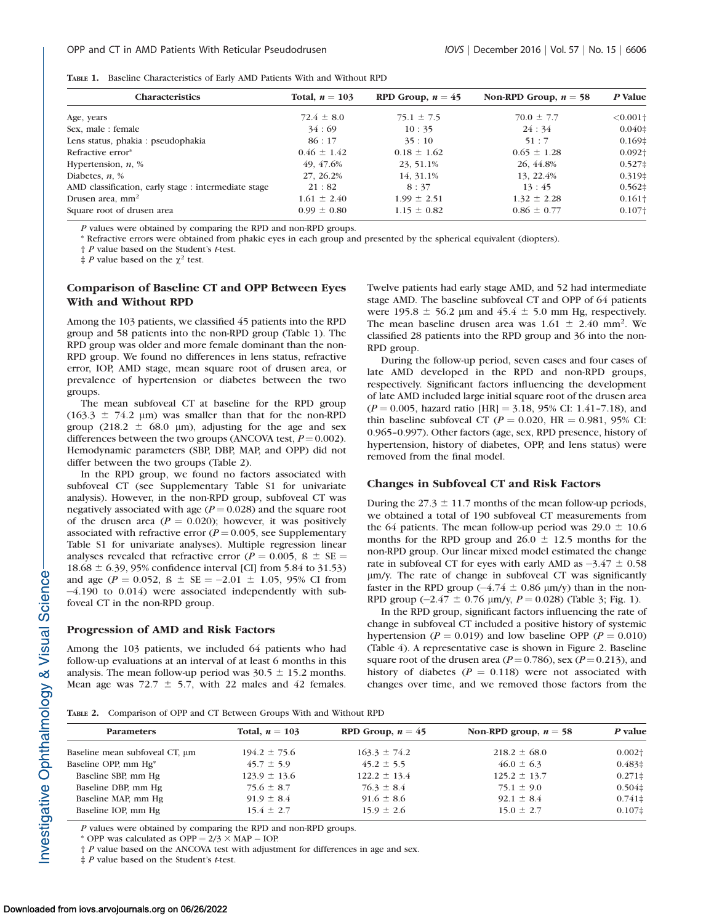| <b>Characteristics</b>                               | Total, $n = 103$ | RPD Group, $n = 45$ | Non-RPD Group, $n = 58$ | P Value                |
|------------------------------------------------------|------------------|---------------------|-------------------------|------------------------|
| Age, years                                           | $72.4 \pm 8.0$   | $75.1 \pm 7.5$      | $70.0 \pm 7.7$          | $< 0.001$ <sup>+</sup> |
| Sex, male : female                                   | 34:69            | 10:35               | 24:34                   | $0.040 \ddagger$       |
| Lens status, phakia : pseudophakia                   | 86:17            | 35:10               | 51:7                    | $0.169\pm$             |
| Refractive error*                                    | $0.46 \pm 1.42$  | $0.18 \pm 1.62$     | $0.65 \pm 1.28$         | $0.092\dagger$         |
| Hypertension, $n, %$                                 | 49, 47.6%        | 23, 51.1%           | 26, 44.8%               | $0.527\pm$             |
| Diabetes, $n, %$                                     | 27, 26.2%        | 14, 31.1%           | 13, 22.4%               | $0.319\ddagger$        |
| AMD classification, early stage : intermediate stage | 21:82            | 8:37                | 13:45                   | $0.562\pm$             |
| Drusen area, $mm2$                                   | $1.61 \pm 2.40$  | $1.99 \pm 2.51$     | $1.32 \pm 2.28$         | $0.161\dagger$         |
| Square root of drusen area                           | $0.99 \pm 0.80$  | $1.15 \pm 0.82$     | $0.86 \pm 0.77$         | $0.107\dagger$         |

P values were obtained by comparing the RPD and non-RPD groups.

\* Refractive errors were obtained from phakic eyes in each group and presented by the spherical equivalent (diopters).

† P value based on the Student's t-test.

 $\ddagger$  P value based on the  $\chi^2$  test.

# Comparison of Baseline CT and OPP Between Eyes With and Without RPD

Among the 103 patients, we classified 45 patients into the RPD group and 58 patients into the non-RPD group (Table 1). The RPD group was older and more female dominant than the non-RPD group. We found no differences in lens status, refractive error, IOP, AMD stage, mean square root of drusen area, or prevalence of hypertension or diabetes between the two groups.

The mean subfoveal CT at baseline for the RPD group  $(163.3 \pm 74.2 \mu m)$  was smaller than that for the non-RPD group (218.2  $\pm$  68.0 µm), adjusting for the age and sex differences between the two groups (ANCOVA test,  $P = 0.002$ ). Hemodynamic parameters (SBP, DBP, MAP, and OPP) did not differ between the two groups (Table 2).

In the RPD group, we found no factors associated with subfoveal CT (see Supplementary Table S1 for univariate analysis). However, in the non-RPD group, subfoveal CT was negatively associated with age ( $P = 0.028$ ) and the square root of the drusen area ( $P = 0.020$ ); however, it was positively associated with refractive error ( $P = 0.005$ , see Supplementary Table S1 for univariate analyses). Multiple regression linear analyses revealed that refractive error ( $P = 0.005$ ,  $\beta \pm \beta E =$  $18.68 \pm 6.39$ , 95% confidence interval [CI] from 5.84 to 31.53) and age ( $P = 0.052$ ,  $\beta \pm SE = -2.01 \pm 1.05$ , 95% CI from -4.190 to 0.014) were associated independently with subfoveal CT in the non-RPD group.

## Progression of AMD and Risk Factors

Among the 103 patients, we included 64 patients who had follow-up evaluations at an interval of at least 6 months in this analysis. The mean follow-up period was  $30.5 \pm 15.2$  months. Mean age was 72.7  $\pm$  5.7, with 22 males and 42 females. Twelve patients had early stage AMD, and 52 had intermediate stage AMD. The baseline subfoveal CT and OPP of 64 patients were 195.8  $\pm$  56.2 µm and 45.4  $\pm$  5.0 mm Hg, respectively. The mean baseline drusen area was  $1.61 \pm 2.40$  mm<sup>2</sup>. We classified 28 patients into the RPD group and 36 into the non-RPD group.

During the follow-up period, seven cases and four cases of late AMD developed in the RPD and non-RPD groups, respectively. Significant factors influencing the development of late AMD included large initial square root of the drusen area  $(P = 0.005$ , hazard ratio [HR] = 3.18, 95% CI: 1.41-7.18), and thin baseline subfoveal CT ( $P = 0.020$ , HR = 0.981, 95% CI: 0.965–0.997). Other factors (age, sex, RPD presence, history of hypertension, history of diabetes, OPP, and lens status) were removed from the final model.

# Changes in Subfoveal CT and Risk Factors

During the  $27.3 \pm 11.7$  months of the mean follow-up periods, we obtained a total of 190 subfoveal CT measurements from the 64 patients. The mean follow-up period was  $29.0 \pm 10.6$ months for the RPD group and  $26.0 \pm 12.5$  months for the non-RPD group. Our linear mixed model estimated the change rate in subfoveal CT for eyes with early AMD as  $-3.47 \pm 0.58$ lm/y. The rate of change in subfoveal CT was significantly faster in the RPD group  $(-4.74 \pm 0.86 \mu \text{m/y})$  than in the non-RPD group  $(-2.47 \pm 0.76 \mu \text{m/y}, P = 0.028)$  (Table 3; Fig. 1).

In the RPD group, significant factors influencing the rate of change in subfoveal CT included a positive history of systemic hypertension ( $P = 0.019$ ) and low baseline OPP ( $P = 0.010$ ) (Table 4). A representative case is shown in Figure 2. Baseline square root of the drusen area ( $P = 0.786$ ), sex ( $P = 0.213$ ), and history of diabetes ( $P = 0.118$ ) were not associated with changes over time, and we removed those factors from the

TABLE 2. Comparison of OPP and CT Between Groups With and Without RPD

| <b>Parameters</b>              | Total, $n = 103$ | RPD Group, $n = 45$ | Non-RPD group, $n = 58$ | P value          |
|--------------------------------|------------------|---------------------|-------------------------|------------------|
| Baseline mean subfoveal CT, um | $194.2 \pm 75.6$ | $163.3 \pm 74.2$    | $218.2 \pm 68.0$        | $0.002\dagger$   |
| Baseline OPP, mm Hg*           | $45.7 \pm 5.9$   | $45.2 \pm 5.5$      | $46.0 \pm 6.3$          | $0.483 \ddagger$ |
| Baseline SBP, mm Hg            | $123.9 \pm 13.6$ | $122.2 \pm 13.4$    | $125.2 \pm 13.7$        | $0.271 \pm$      |
| Baseline DBP, mm Hg            | $75.6 \pm 8.7$   | $76.3 \pm 8.4$      | $75.1 \pm 9.0$          | $0.504\pm$       |
| Baseline MAP, mm Hg            | $91.9 \pm 8.4$   | $91.6 \pm 8.6$      | $92.1 \pm 8.4$          | $0.741 \pm$      |
| Baseline IOP, mm Hg            | $15.4 \pm 2.7$   | $15.9 \pm 2.6$      | $15.0 \pm 2.7$          | $0.107\pm$       |

P values were obtained by comparing the RPD and non-RPD groups.

\* OPP was calculated as  $OPP = 2/3 \times MAP - IOP$ .

 $\uparrow$  P value based on the ANCOVA test with adjustment for differences in age and sex.

 $\ddagger$  P value based on the Student's t-test.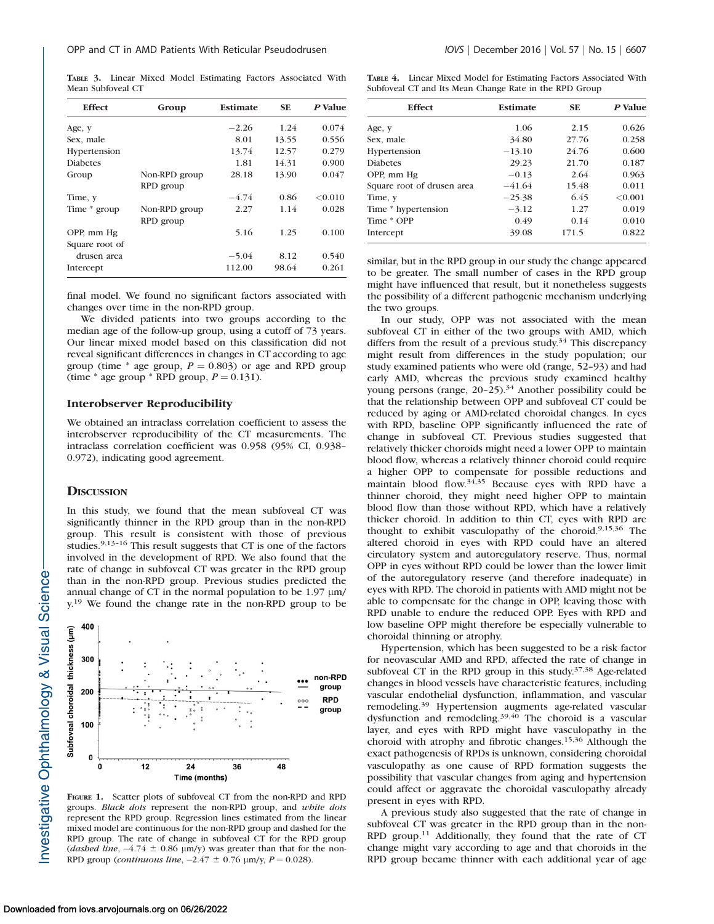| Group                      | Estimate          | <b>SE</b> | P Value        |
|----------------------------|-------------------|-----------|----------------|
|                            | $-2.26$           | 1.24      | 0.074          |
|                            | 8.01              | 13.55     | 0.556          |
|                            | 13.74             | 12.57     | 0.279          |
|                            | 1.81              | 14.31     | 0.900          |
| Non-RPD group<br>RPD group | 28.18             | 13.90     | 0.047          |
|                            | $-4.74$           | 0.86      | < 0.010        |
| Non-RPD group<br>RPD group | 2.27              | 1.14      | 0.028          |
|                            | 5.16              | 1.25      | 0.100          |
|                            | $-5.04$<br>112.00 | 8.12      | 0.540<br>0.261 |
|                            |                   |           | 98.64          |

final model. We found no significant factors associated with changes over time in the non-RPD group.

We divided patients into two groups according to the median age of the follow-up group, using a cutoff of 73 years. Our linear mixed model based on this classification did not reveal significant differences in changes in CT according to age group (time \* age group,  $P = 0.803$ ) or age and RPD group (time \* age group \* RPD group,  $P = 0.131$ ).

# Interobserver Reproducibility

We obtained an intraclass correlation coefficient to assess the interobserver reproducibility of the CT measurements. The intraclass correlation coefficient was 0.958 (95% CI, 0.938– 0.972), indicating good agreement.

### **DISCUSSION**

In this study, we found that the mean subfoveal CT was significantly thinner in the RPD group than in the non-RPD group. This result is consistent with those of previous studies.<sup>9,13-16</sup> This result suggests that CT is one of the factors involved in the development of RPD. We also found that the rate of change in subfoveal CT was greater in the RPD group than in the non-RPD group. Previous studies predicted the annual change of CT in the normal population to be 1.97  $\mu$ m/<br>y.<sup>19</sup> We found the change rate in the non-RPD group to be We found the change rate in the non-RPD group to be



FIGURE 1. Scatter plots of subfoveal CT from the non-RPD and RPD groups. Black dots represent the non-RPD group, and white dots represent the RPD group. Regression lines estimated from the linear mixed model are continuous for the non-RPD group and dashed for the RPD group. The rate of change in subfoveal CT for the RPD group (*dashed line*,  $-4.74 \pm 0.86$   $\mu$ m/y) was greater than that for the non-RPD group (*continuous line*,  $-2.47 \pm 0.76$   $\mu$ m/y,  $P = 0.028$ ).

TABLE 4. Linear Mixed Model for Estimating Factors Associated With Subfoveal CT and Its Mean Change Rate in the RPD Group

| <b>Effect</b>              | Estimate | <b>SE</b> | P Value |
|----------------------------|----------|-----------|---------|
| Age, y                     | 1.06     | 2.15      | 0.626   |
| Sex, male                  | 34.80    | 27.76     | 0.258   |
| Hypertension               | $-13.10$ | 24.76     | 0.600   |
| <b>Diabetes</b>            | 29.23    | 21.70     | 0.187   |
| OPP, mm Hg                 | $-0.13$  | 2.64      | 0.963   |
| Square root of drusen area | $-41.64$ | 15.48     | 0.011   |
| Time, y                    | $-25.38$ | 6.45      | < 0.001 |
| Time * hypertension        | $-3.12$  | 1.27      | 0.019   |
| Time * OPP                 | 0.49     | 0.14      | 0.010   |
| Intercept                  | 39.08    | 171.5     | 0.822   |

similar, but in the RPD group in our study the change appeared to be greater. The small number of cases in the RPD group might have influenced that result, but it nonetheless suggests the possibility of a different pathogenic mechanism underlying the two groups.

In our study, OPP was not associated with the mean subfoveal CT in either of the two groups with AMD, which differs from the result of a previous study.<sup>34</sup> This discrepancy might result from differences in the study population; our study examined patients who were old (range, 52–93) and had early AMD, whereas the previous study examined healthy young persons (range,  $20-25$ ).<sup>34</sup> Another possibility could be that the relationship between OPP and subfoveal CT could be reduced by aging or AMD-related choroidal changes. In eyes with RPD, baseline OPP significantly influenced the rate of change in subfoveal CT. Previous studies suggested that relatively thicker choroids might need a lower OPP to maintain blood flow, whereas a relatively thinner choroid could require a higher OPP to compensate for possible reductions and maintain blood flow. $34,35$  Because eyes with RPD have a thinner choroid, they might need higher OPP to maintain blood flow than those without RPD, which have a relatively thicker choroid. In addition to thin CT, eyes with RPD are thought to exhibit vasculopathy of the choroid.9,15,36 The altered choroid in eyes with RPD could have an altered circulatory system and autoregulatory reserve. Thus, normal OPP in eyes without RPD could be lower than the lower limit of the autoregulatory reserve (and therefore inadequate) in eyes with RPD. The choroid in patients with AMD might not be able to compensate for the change in OPP, leaving those with RPD unable to endure the reduced OPP. Eyes with RPD and low baseline OPP might therefore be especially vulnerable to choroidal thinning or atrophy.

Hypertension, which has been suggested to be a risk factor for neovascular AMD and RPD, affected the rate of change in subfoveal CT in the RPD group in this study. $37,38$  Age-related changes in blood vessels have characteristic features, including vascular endothelial dysfunction, inflammation, and vascular remodeling.<sup>39</sup> Hypertension augments age-related vascular dysfunction and remodeling.39,40 The choroid is a vascular layer, and eyes with RPD might have vasculopathy in the choroid with atrophy and fibrotic changes.15,36 Although the exact pathogenesis of RPDs is unknown, considering choroidal vasculopathy as one cause of RPD formation suggests the possibility that vascular changes from aging and hypertension could affect or aggravate the choroidal vasculopathy already present in eyes with RPD.

A previous study also suggested that the rate of change in subfoveal CT was greater in the RPD group than in the non-RPD group.11 Additionally, they found that the rate of CT change might vary according to age and that choroids in the RPD group became thinner with each additional year of age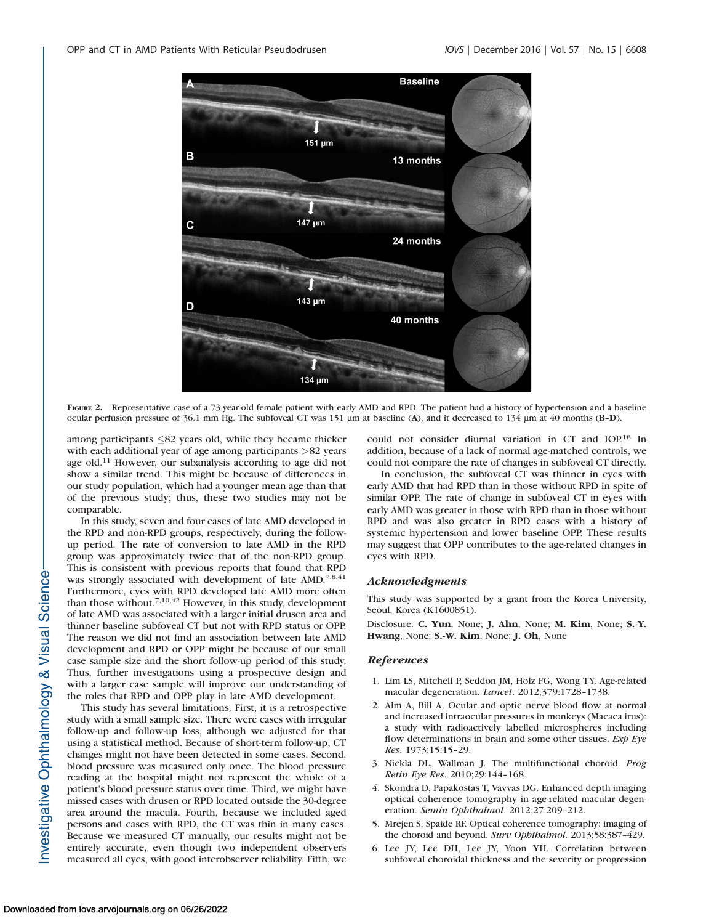

FIGURE 2. Representative case of a 73-year-old female patient with early AMD and RPD. The patient had a history of hypertension and a baseline ocular perfusion pressure of 36.1 mm Hg. The subfoveal CT was 151  $\mu$ m at baseline (A), and it decreased to 134  $\mu$ m at 40 months (B-D).

among participants  $\leq 82$  years old, while they became thicker with each additional year of age among participants >82 years age old.11 However, our subanalysis according to age did not show a similar trend. This might be because of differences in our study population, which had a younger mean age than that of the previous study; thus, these two studies may not be comparable.

In this study, seven and four cases of late AMD developed in the RPD and non-RPD groups, respectively, during the followup period. The rate of conversion to late AMD in the RPD group was approximately twice that of the non-RPD group. This is consistent with previous reports that found that RPD was strongly associated with development of late AMD.<sup>7,8,41</sup> Furthermore, eyes with RPD developed late AMD more often than those without.7,10,42 However, in this study, development of late AMD was associated with a larger initial drusen area and thinner baseline subfoveal CT but not with RPD status or OPP. The reason we did not find an association between late AMD development and RPD or OPP might be because of our small case sample size and the short follow-up period of this study. Thus, further investigations using a prospective design and with a larger case sample will improve our understanding of the roles that RPD and OPP play in late AMD development.

This study has several limitations. First, it is a retrospective study with a small sample size. There were cases with irregular follow-up and follow-up loss, although we adjusted for that using a statistical method. Because of short-term follow-up, CT changes might not have been detected in some cases. Second, blood pressure was measured only once. The blood pressure reading at the hospital might not represent the whole of a patient's blood pressure status over time. Third, we might have missed cases with drusen or RPD located outside the 30-degree area around the macula. Fourth, because we included aged persons and cases with RPD, the CT was thin in many cases. Because we measured CT manually, our results might not be entirely accurate, even though two independent observers measured all eyes, with good interobserver reliability. Fifth, we

could not consider diurnal variation in CT and IOP.18 In addition, because of a lack of normal age-matched controls, we could not compare the rate of changes in subfoveal CT directly.

In conclusion, the subfoveal CT was thinner in eyes with early AMD that had RPD than in those without RPD in spite of similar OPP. The rate of change in subfoveal CT in eyes with early AMD was greater in those with RPD than in those without RPD and was also greater in RPD cases with a history of systemic hypertension and lower baseline OPP. These results may suggest that OPP contributes to the age-related changes in eyes with RPD.

### Acknowledgments

This study was supported by a grant from the Korea University, Seoul, Korea (K1600851).

Disclosure: C. Yun, None; J. Ahn, None; M. Kim, None; S.-Y. Hwang, None; S.-W. Kim, None; J. Oh, None

## References

- 1. Lim LS, Mitchell P, Seddon JM, Holz FG, Wong TY. Age-related macular degeneration. Lancet. 2012;379:1728–1738.
- 2. Alm A, Bill A. Ocular and optic nerve blood flow at normal and increased intraocular pressures in monkeys (Macaca irus): a study with radioactively labelled microspheres including flow determinations in brain and some other tissues. Exp Eye Res. 1973;15:15–29.
- 3. Nickla DL, Wallman J. The multifunctional choroid. Prog Retin Eye Res. 2010;29:144–168.
- 4. Skondra D, Papakostas T, Vavvas DG. Enhanced depth imaging optical coherence tomography in age-related macular degeneration. Semin Ophthalmol. 2012;27:209–212.
- 5. Mrejen S, Spaide RF. Optical coherence tomography: imaging of the choroid and beyond. Surv Ophthalmol. 2013;58:387-429.
- 6. Lee JY, Lee DH, Lee JY, Yoon YH. Correlation between subfoveal choroidal thickness and the severity or progression